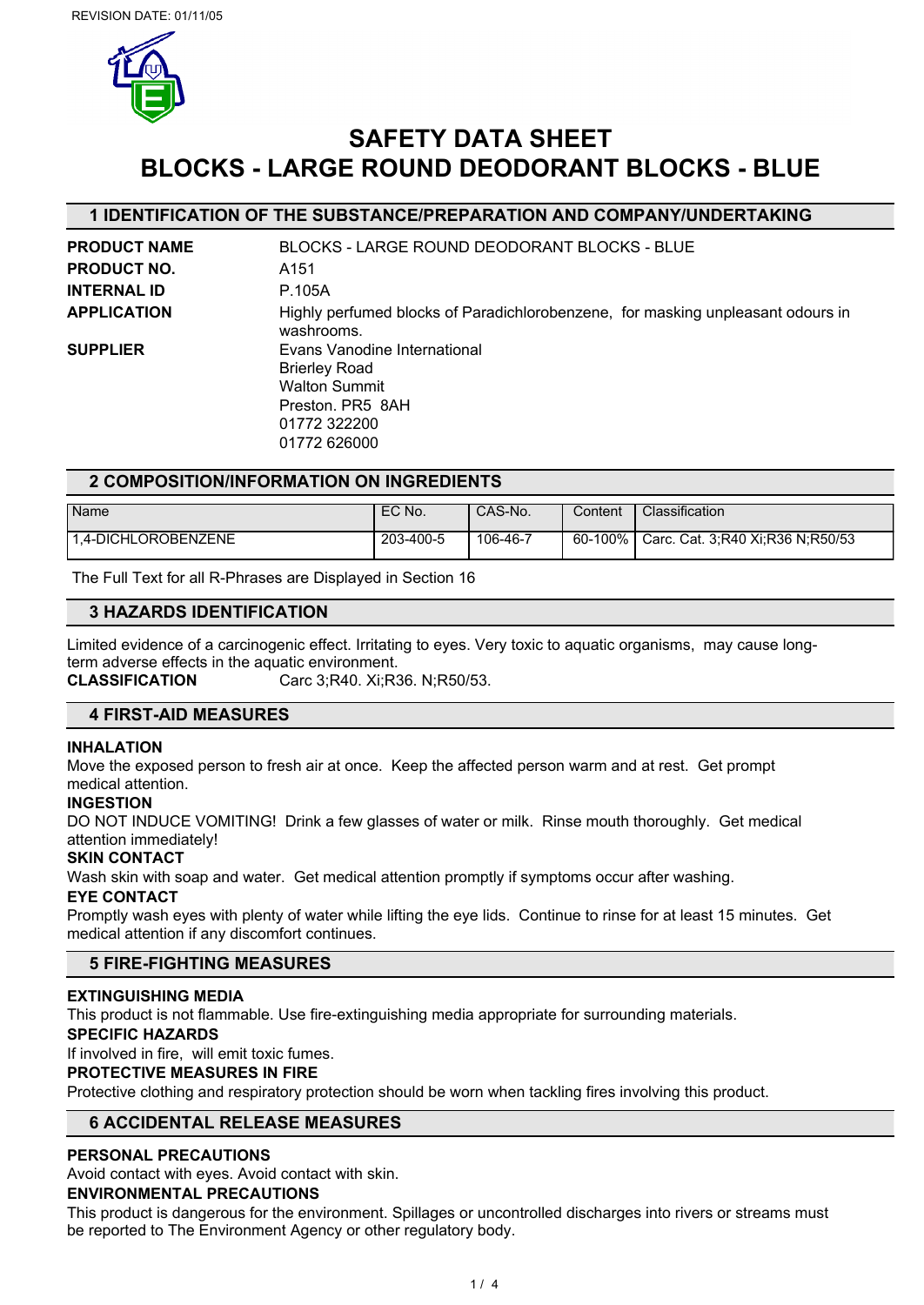

# **SAFETY DATA SHEET BLOCKS - LARGE ROUND DEODORANT BLOCKS - BLUE**

## **1 IDENTIFICATION OF THE SUBSTANCE/PREPARATION AND COMPANY/UNDERTAKING**

| <b>PRODUCT NAME</b> | BLOCKS - LARGE ROUND DEODORANT BLOCKS - BLUE                                                                                     |
|---------------------|----------------------------------------------------------------------------------------------------------------------------------|
| <b>PRODUCT NO.</b>  | A151                                                                                                                             |
| <b>INTERNAL ID</b>  | P.105A                                                                                                                           |
| <b>APPLICATION</b>  | Highly perfumed blocks of Paradichlorobenzene, for masking unpleasant odours in<br>washrooms.                                    |
| <b>SUPPLIER</b>     | Evans Vanodine International<br><b>Brierley Road</b><br><b>Walton Summit</b><br>Preston, PR5 8AH<br>01772 322200<br>01772 626000 |

## **2 COMPOSITION/INFORMATION ON INGREDIENTS**

| Name                | EC No.    | CAS-No.  | Content | Classification                   |
|---------------------|-----------|----------|---------|----------------------------------|
| 1.4-DICHLOROBENZENE | 203-400-5 | 106-46-7 | 60-100% | Carc. Cat. 3:R40 Xi:R36 N:R50/53 |

The Full Text for all R-Phrases are Displayed in Section 16

## **3 HAZARDS IDENTIFICATION**

Limited evidence of a carcinogenic effect. Irritating to eyes. Very toxic to aquatic organisms, may cause longterm adverse effects in the aquatic environment. **CLASSIFICATION** Carc 3;R40. Xi;R36. N;R50/53.

## **4 FIRST-AID MEASURES**

## **INHALATION**

Move the exposed person to fresh air at once. Keep the affected person warm and at rest. Get prompt medical attention.

#### **INGESTION**

DO NOT INDUCE VOMITING! Drink a few glasses of water or milk. Rinse mouth thoroughly. Get medical attention immediately!

## **SKIN CONTACT**

Wash skin with soap and water. Get medical attention promptly if symptoms occur after washing.

## **EYE CONTACT**

Promptly wash eyes with plenty of water while lifting the eye lids. Continue to rinse for at least 15 minutes. Get medical attention if any discomfort continues.

## **5 FIRE-FIGHTING MEASURES**

## **EXTINGUISHING MEDIA**

This product is not flammable. Use fire-extinguishing media appropriate for surrounding materials.

#### **SPECIFIC HAZARDS**

If involved in fire, will emit toxic fumes.

## **PROTECTIVE MEASURES IN FIRE**

Protective clothing and respiratory protection should be worn when tackling fires involving this product.

## **6 ACCIDENTAL RELEASE MEASURES**

## **PERSONAL PRECAUTIONS**

Avoid contact with eyes. Avoid contact with skin.

#### **ENVIRONMENTAL PRECAUTIONS**

This product is dangerous for the environment. Spillages or uncontrolled discharges into rivers or streams must be reported to The Environment Agency or other regulatory body.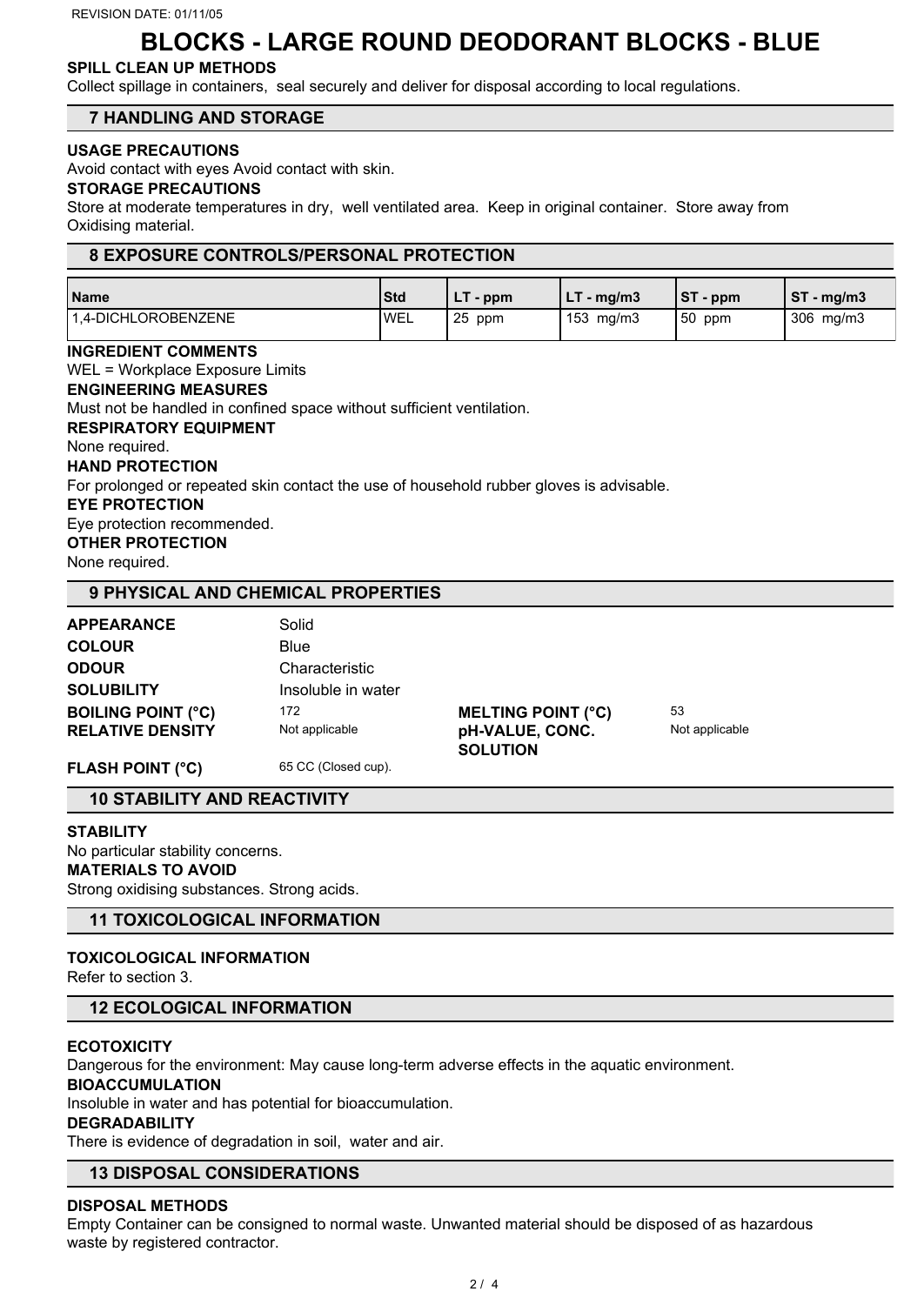## **BLOCKS - LARGE ROUND DEODORANT BLOCKS - BLUE**

## **SPILL CLEAN UP METHODS**

Collect spillage in containers, seal securely and deliver for disposal according to local regulations.

## **7 HANDLING AND STORAGE**

#### **USAGE PRECAUTIONS**

Avoid contact with eyes Avoid contact with skin.

#### **STORAGE PRECAUTIONS**

Store at moderate temperatures in dry, well ventilated area. Keep in original container. Store away from Oxidising material.

### **8 EXPOSURE CONTROLS/PERSONAL PROTECTION**

| Name                | <b>Std</b>   | - ppm      | $-$ mg/m3          | IST<br>$\mathsf{p}$ - ppm | <b>ST</b><br>์ - mg/m3 |
|---------------------|--------------|------------|--------------------|---------------------------|------------------------|
| 1.4-DICHLOROBENZENE | <b>I</b> WEL | -25<br>ppm | $153 \text{ mg/m}$ | 150<br>ppm                | 306<br>mg/m3           |

**INGREDIENT COMMENTS** WEL = Workplace Exposure Limits **ENGINEERING MEASURES** Must not be handled in confined space without sufficient ventilation. **RESPIRATORY EQUIPMENT** None required. **HAND PROTECTION** For prolonged or repeated skin contact the use of household rubber gloves is advisable. **EYE PROTECTION** Eye protection recommended. **OTHER PROTECTION** None required.

## **9 PHYSICAL AND CHEMICAL PROPERTIES**

| <b>APPEARANCE</b>         | Solid              |                           |                |
|---------------------------|--------------------|---------------------------|----------------|
| <b>COLOUR</b>             | Blue               |                           |                |
| <b>ODOUR</b>              | Characteristic     |                           |                |
| <b>SOLUBILITY</b>         | Insoluble in water |                           |                |
| <b>BOILING POINT (°C)</b> | 172                | <b>MELTING POINT (°C)</b> | 53             |
| <b>RELATIVE DENSITY</b>   | Not applicable     | pH-VALUE, CONC.           | Not applicable |
|                           |                    | <b>SOLUTION</b>           |                |

FLASH POINT (°C) 65 CC (Closed cup).

## **10 STABILITY AND REACTIVITY**

#### **STABILITY**

No particular stability concerns. **MATERIALS TO AVOID** Strong oxidising substances. Strong acids.

## **11 TOXICOLOGICAL INFORMATION**

## **TOXICOLOGICAL INFORMATION**

Refer to section 3.

## **12 ECOLOGICAL INFORMATION**

### **ECOTOXICITY**

Dangerous for the environment: May cause long-term adverse effects in the aquatic environment.

### **BIOACCUMULATION**

Insoluble in water and has potential for bioaccumulation.

## **DEGRADABILITY**

There is evidence of degradation in soil, water and air.

## **13 DISPOSAL CONSIDERATIONS**

#### **DISPOSAL METHODS**

Empty Container can be consigned to normal waste. Unwanted material should be disposed of as hazardous waste by registered contractor.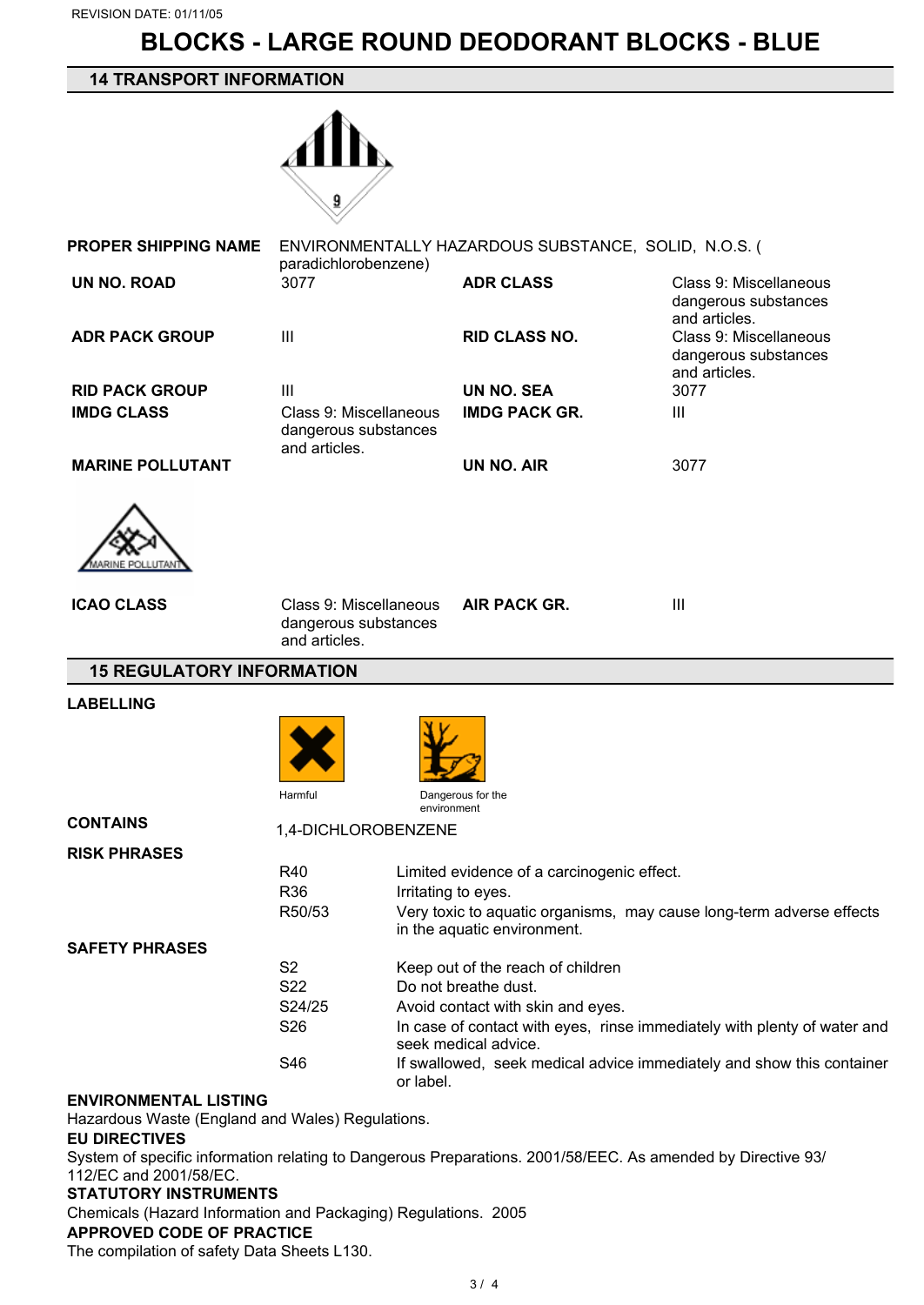# **BLOCKS - LARGE ROUND DEODORANT BLOCKS - BLUE**

## **14 TRANSPORT INFORMATION**



| <b>PROPER SHIPPING NAME</b> | paradichlorobenzene)                                            | ENVIRONMENTALLY HAZARDOUS SUBSTANCE, SOLID, N.O.S. ( |                                                                 |
|-----------------------------|-----------------------------------------------------------------|------------------------------------------------------|-----------------------------------------------------------------|
| UN NO. ROAD                 | 3077                                                            | <b>ADR CLASS</b>                                     | Class 9: Miscellaneous<br>dangerous substances<br>and articles. |
| <b>ADR PACK GROUP</b>       | Ш                                                               | <b>RID CLASS NO.</b>                                 | Class 9: Miscellaneous<br>dangerous substances<br>and articles. |
| <b>RID PACK GROUP</b>       | Ш                                                               | UN NO. SEA                                           | 3077                                                            |
| <b>IMDG CLASS</b>           | Class 9: Miscellaneous<br>dangerous substances<br>and articles. | <b>IMDG PACK GR.</b>                                 | Ш                                                               |
| <b>MARINE POLLUTANT</b>     |                                                                 | UN NO. AIR                                           | 3077                                                            |
|                             |                                                                 |                                                      |                                                                 |

| <b>ICAO CLASS</b> | Class 9: Miscellaneous<br>dangerous substances<br>and articles. | <b>AIR PACK GR.</b> | Ш |
|-------------------|-----------------------------------------------------------------|---------------------|---|
|                   |                                                                 |                     |   |

## **15 REGULATORY INFORMATION**

#### **LABELLING**





**CONTAINS** 1,4-DICHLOROBENZENE

| <b>RISK PHRASES</b>   |                     |                                                                                                     |
|-----------------------|---------------------|-----------------------------------------------------------------------------------------------------|
|                       | R40                 | Limited evidence of a carcinogenic effect.                                                          |
|                       | R <sub>36</sub>     | Irritating to eyes.                                                                                 |
|                       | R <sub>50</sub> /53 | Very toxic to aquatic organisms, may cause long-term adverse effects<br>in the aquatic environment. |
| <b>SAFETY PHRASES</b> |                     |                                                                                                     |
|                       | S2                  | Keep out of the reach of children                                                                   |
|                       | S <sub>22</sub>     | Do not breathe dust.                                                                                |
|                       | S24/25              | Avoid contact with skin and eyes.                                                                   |
|                       | S <sub>26</sub>     | In case of contact with eyes, rinse immediately with plenty of water and<br>seek medical advice.    |
|                       | S46                 | If swallowed, seek medical advice immediately and show this container<br>or label.                  |

#### **ENVIRONMENTAL LISTING**

Hazardous Waste (England and Wales) Regulations.

#### **EU DIRECTIVES**

System of specific information relating to Dangerous Preparations. 2001/58/EEC. As amended by Directive 93/ 112/EC and 2001/58/EC.

## **STATUTORY INSTRUMENTS**

Chemicals (Hazard Information and Packaging) Regulations. 2005

## **APPROVED CODE OF PRACTICE**

The compilation of safety Data Sheets L130.